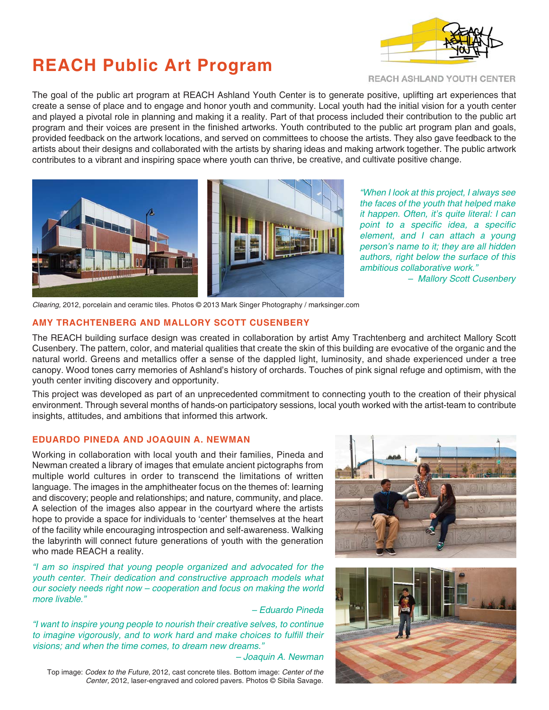# **REACH Public Art Program**



REACH ASHLAND YOUTH CENTER

The goal of the public art program at REACH Ashland Youth Center is to generate positive, uplifting art experiences that create a sense of place and to engage and honor youth and community. Local youth had the initial vision for a youth center and played a pivotal role in planning and making it a reality. Part of that process included their contribution to the public art program and their voices are present in the finished artworks. Youth contributed to the public art program plan and goals, provided feedback on the artwork locations, and served on committees to choose the artists. They also gave feedback to the artists about their designs and collaborated with the artists by sharing ideas and making artwork together. The public artwork contributes to a vibrant and inspiring space where youth can thrive, be creative, and cultivate positive change.



"When I look at this project, I always see the faces of the youth that helped make it happen. Often, it's quite literal: I can point to a specific idea, a specific element, and I can attach a young person's name to it; they are all hidden authors, right below the surface of this ambitious collaborative work."

– Mallory Scott Cusenbery

Clearing, 2012, porcelain and ceramic tiles. Photos © 2013 Mark Singer Photography / marksinger.com

## **AMY TRACHTENBERG AND MALLORY SCOTT CUSENBERY**

The REACH building surface design was created in collaboration by artist Amy Trachtenberg and architect Mallory Scott Cusenbery. The pattern, color, and material qualities that create the skin of this building are evocative of the organic and the natural world. Greens and metallics offer a sense of the dappled light, luminosity, and shade experienced under a tree canopy. Wood tones carry memories of Ashland's history of orchards. Touches of pink signal refuge and optimism, with the youth center inviting discovery and opportunity.

This project was developed as part of an unprecedented commitment to connecting youth to the creation of their physical environment. Through several months of hands-on participatory sessions, local youth worked with the artist-team to contribute insights, attitudes, and ambitions that informed this artwork.

## **EDUARDO PINEDA AND JOAQUIN A. NEWMAN**

Working in collaboration with local youth and their families, Pineda and Newman created a library of images that emulate ancient pictographs from multiple world cultures in order to transcend the limitations of written language. The images in the amphitheater focus on the themes of: learning and discovery; people and relationships; and nature, community, and place. A selection of the images also appear in the courtyard where the artists hope to provide a space for individuals to 'center' themselves at the heart of the facility while encouraging introspection and self-awareness. Walking the labyrinth will connect future generations of youth with the generation who made REACH a reality.

"I am so inspired that young people organized and advocated for the youth center. Their dedication and constructive approach models what our society needs right now – cooperation and focus on making the world more livable."

– Eduardo Pineda

"I want to inspire young people to nourish their creative selves, to continue to imagine vigorously, and to work hard and make choices to fulfill their visions; and when the time comes, to dream new dreams."

#### – Joaquin A. Newman

Top image: Codex to the Future, 2012, cast concrete tiles. Bottom image: Center of the Center, 2012, laser-engraved and colored pavers. Photos © Sibila Savage.